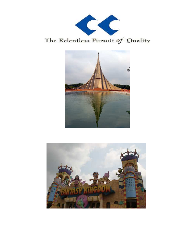

The Relentless Pursuit of Quality



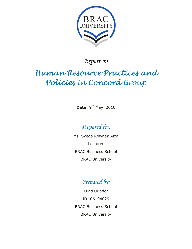

*Report on* 

# Human Resource Practices and Policies in Concord Group

**Date:** 9<sup>th</sup> May, 2010

*Prepared for:* 

Ms. Syeda Rownak Afza Lecturer BRAC Business School BRAC University



Fuad Quader ID: 06104029 BRAC Business School BRAC University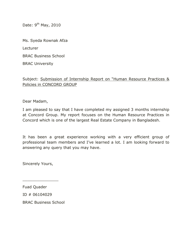Date: 9<sup>th</sup> May, 2010

Ms. Syeda Rownak Afza

Lecturer

BRAC Business School

BRAC University

Subject: Submission of Internship Report on "Human Resource Practices & Policies in CONCORD GROUP

Dear Madam,

I am pleased to say that I have completed my assigned 3 months internship at Concord Group. My report focuses on the Human Resource Practices in Concord which is one of the largest Real Estate Company in Bangladesh.

It has been a great experience working with a very efficient group of professional team members and I've learned a lot. I am looking forward to answering any query that you may have.

Sincerely Yours,

\_\_\_\_\_\_\_\_\_\_\_\_\_\_\_

Fuad Quader

ID # 06104029

BRAC Business School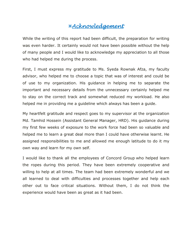# Acknowledgement

While the writing of this report had been difficult, the preparation for writing was even harder. It certainly would not have been possible without the help of many people and I would like to acknowledge my appreciation to all those who had helped me during the process.

First, I must express my gratitude to Ms. Syeda Rownak Afza, my faculty advisor, who helped me to choose a topic that was of interest and could be of use to my organization. His guidance in helping me to separate the important and necessary details from the unnecessary certainly helped me to stay on the correct track and somewhat reduced my workload. He also helped me in providing me a guideline which always has been a guide.

My heartfelt gratitude and respect goes to my supervisor at the organization Md. Tamhid Hossein (Assistant General Manager, HRD). His guidance during my first few weeks of exposure to the work force had been so valuable and helped me to learn a great deal more than I could have otherwise learnt. He assigned responsibilities to me and allowed me enough latitude to do it my own way and learn for my own self.

I would like to thank all the employees of Concord Group who helped learn the ropes during this period. They have been extremely cooperative and willing to help at all times. The team had been extremely wonderful and we all learned to deal with difficulties and processes together and help each other out to face critical situations. Without them, I do not think the experience would have been as great as it had been.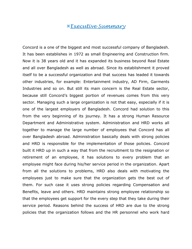#### Executive Summary

Concord is a one of the biggest and most successful company of Bangladesh. It has been establishes in 1972 as small Engineering and Construction firm. Now it is 38 years old and it has expanded its business beyond Real Estate and all over Bangladesh as well as abroad. Since its establishment it proved itself to be a successful organization and that success has leaded it towards other industries, for example: Entertainment industry, AD Firm, Garments Industries and so on. But still its main concern is the Real Estate sector, because still Concord's biggest portion of revenues comes from this very sector. Managing such a large organization is not that easy, especially if it is one of the largest employers of Bangladesh. Concord had solution to this from the very beginning of its journey. It has a strong Human Resource Department and Administrative system. Administration and HRD works all together to manage the large number of employees that Concord has all over Bangladesh abroad. Administration basically deals with strong policies and HRD is responsible for the implementation of those policies. Concord built it HRD up in such a way that from the recruitment to the resignation or retirement of an employee, it has solutions to every problem that an employee might face during his/her service period in the organization. Apart from all the solutions to problems, HRD also deals with motivating the employees just to make sure that the organization gets the best out of them. For such case it uses strong policies regarding Compensation and Benefits, leave and others. HRD maintains strong employee relationship so that the employees get support for the every step that they take during their service period. Reasons behind the success of HRD are due to the strong policies that the organization follows and the HR personnel who work hard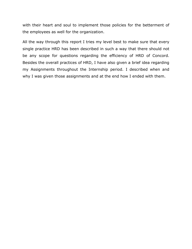with their heart and soul to implement those policies for the betterment of the employees as well for the organization.

All the way through this report I tries my level best to make sure that every single practice HRD has been described in such a way that there should not be any scope for questions regarding the efficiency of HRD of Concord. Besides the overall practices of HRD, I have also given a brief idea regarding my Assignments throughout the Internship period. I described when and why I was given those assignments and at the end how I ended with them.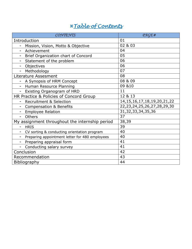# Table of Contents

| CONTENTS                                                 | PAGE#                              |
|----------------------------------------------------------|------------------------------------|
| Introduction                                             | 01                                 |
| Mission, Vision, Motto & Objective                       | 02 & 03                            |
| Achievement<br>$\qquad \qquad -$                         | 04                                 |
| Brief Organization chart of Concord<br>$\qquad \qquad -$ | 05                                 |
| Statement of the problem<br>$\qquad \qquad -$            | 06                                 |
| Objectives                                               | 06                                 |
| Methodology                                              | 07                                 |
| Literature Assesment                                     | 08                                 |
| A Synopsis of HRM Concept                                | 08 & 09                            |
| Human Resource Planning                                  | 09 & 10                            |
| Existing Organogram of HRD<br>$\overline{\phantom{0}}$   | 11                                 |
| HR Practice & Policies of Concord Group                  | 12 & 13                            |
| <b>Recruitment &amp; Selection</b>                       | 14, 15, 16, 17, 18, 19, 20, 21, 22 |
| <b>Compensation &amp; Benefits</b>                       | 22, 23, 24, 25, 26, 27, 28, 29, 30 |
| <b>Employee Relation</b>                                 | 31, 32, 33, 34, 35, 36             |
| <b>Others</b><br>$\qquad \qquad -$                       | 37                                 |
| My assignment throughout the internship period           | 38,39                              |
| <b>HRIS</b><br>$\overline{\phantom{0}}$                  | 39                                 |
| CV sorting & conducting orientation program              | 40                                 |
| Preparing appointment letter for 480 employees           | 40                                 |
| Preparing appraisal form                                 | 41                                 |
| Conducting salary survey                                 | 41                                 |
| Conclusion                                               | 42                                 |
| Recommendation                                           | 43                                 |
| Bibliography                                             | 44                                 |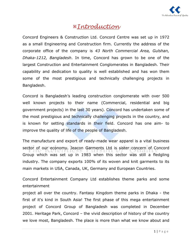

# Introduction

Concord Engineers & Construction Ltd. Concord Centre was set up in 1972 as a small Engineering and Construction firm. Currently the address of the corporate office of the company is *43 North Commercial Area, Gulshan, Dhaka-1212, Bangladesh*. In time, Concord has grown to be one of the largest Construction and Entertainment Conglomerates in Bangladesh. Their capability and dedication to quality is well established and has won them some of the most prestigious and technically challenging projects in Bangladesh.

Concord is Bangladesh's leading construction conglomerate with over 500 well known projects to their name (Commercial, residential and big government projects) in the last 30 years). Concord has undertaken some of the most prestigious and technically challenging projects in the country, and is known for setting standards in their field. Concord has one aim- to improve the quality of life of the people of Bangladesh.

The manufacture and export of ready-made wear apparel is a vital business sector of our economy. Jeacon Garments Ltd is sister concern of Concord Group which was set up in 1983 when this sector was still a fledgling industry. The company exports 100% of its woven and knit garments to its main markets in USA, Canada, UK, Germany and European Countries.

Concord Entertainment Company Ltd establishes theme parks and some entertainment

project all over the country. Fantasy Kingdom theme parks in Dhaka - the first of it's kind in South Asia! The first phase of this mega entertainment project of Concord Group of Bangladesh was completed in December 2001. Heritage Park, Concord – the vivid description of history of the country we love most, Bangladesh. The place is more than what we know about and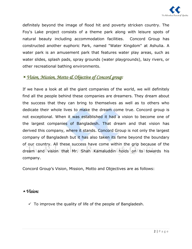

definitely beyond the image of flood hit and poverty stricken country. The Foy's Lake project consists of a theme park along with leisure spots of natural beauty including accommodation facilities. Concord Group has constructed another euphoric Park, named "Water Kingdom" at Ashulia. A water park is an amusement park that features water play areas, such as water slides, spla[sh pads, spray gro](http://en.wikipedia.org/wiki/Amusement_park)unds (water playgrounds), [lazy rivers](http://en.wikipedia.org/wiki/Lazy_river), or [other recreat](http://en.wikipedia.org/wiki/Water_slide)[ional bathing](http://en.wikipedia.org/wiki/Splash_pad) environments.

# -*Vision, Mission, Motto Vision, Mission, Motto& Objective of Concord gr & Objective of Concord gr& of Concord group:*

If we have a look at all the giant companies of the world, we will definitely find all the people behind these companies are dreamers. They dream about the success that they can bring to themselves as well as to others who dedicate their whole lives to make the dream come true. Concord group is not exceptional. When it was established it had a vision to become one of the largest companies of Bangladesh. That dream and that vision has derived this company, where it stands. Concord Group is not only the largest company of Bangladesh but it has also taken its fame beyond the boundary of our country. All these success have come within the grip because of the dream and vision that Mr. Shah Kamaluddin holds on to towards his company.

Concord Group's Vision, Mission, Motto and Objectives are as follows:

#### *Vision: Vision:*

 $\checkmark$  To improve the quality of life of the people of Bangladesh.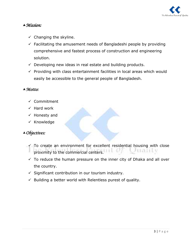

#### *Mission:*

- $\checkmark$  Changing the skyline.
- $\checkmark$  Facilitating the amusement needs of Bangladeshi people by providing comprehensive and fastest process of construction and engineering solution.
- $\checkmark$  Developing new ideas in real estate and building products.
- $\checkmark$  Providing with class entertainment facilities in local areas which would easily be accessible to the general people of Bangladesh.

#### *Motto:*

- $\checkmark$  Commitment
- $\checkmark$  Hard work
- $\checkmark$  Honesty and
- $\times$  Knowledge

#### *Objectives:*

- $\checkmark$  To create an environment for excellent residential housing with close proximity to the commercial centers. wally
- $\checkmark$  To reduce the human pressure on the inner city of Dhaka and all over the country.
- $\checkmark$  Significant contribution in our tourism industry.
- $\checkmark$  Building a better world with Relentless purest of quality.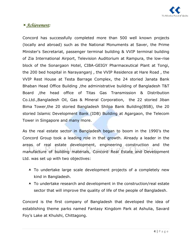

# -*Achievement:*

Concord has successfully completed more than 500 well known projects (locally and abroad) such as the National Monuments at Saver, the Prime Minister's Secretariat, passenger terminal building & VVIP terminal building of Zia International Airport, Television Auditorium at Rampura, the low-rise block of the Sonargaon Hotel, CIBA-GEIGY Pharmaceutical Plant at Tongi, the 200 bed hospital in Narayanganj , the VVIP Residence at Hare Road , the VVIP Rest House at Testa Barrage Complex, the 24 storied Janata Bank Bhaban Head Office Building ,the administrative building of Bangladesh T&T Board ,the head office of Titas Gas Transmission & Distribution Co.Ltd.,Bangladesh Oil, Gas & Mineral Corporation, the 22 storied Jiban Bima Tower,the 20 storied Bangladesh Shilpa Bank Building(BSB), the 20 storied Islamic Development Bank (IDB) Building at Agargaon, the Telecom Tower in Singapore and many more.

As the real estate sector in Bangladesh began to boom in the 1990's the Concord Group took a leading role in that growth. Already a leader in the areas of real estate development, engineering construction and the manufacture of building materials, Concord Real Estate and Development Ltd. was set up with two objectives:

- $\triangle$  To undertake large scale development projects of a completely new kind in Bangladesh.
- ▲ To undertake research and development in the construction/real estate sector that will improve the quality of life of the people of Bangladesh.

Concord is the first company of Bangladesh that developed the idea of establishing theme parks named Fantasy Kingdom Park at Ashulia, Savard Foy's Lake at Khulshi, Chittagong.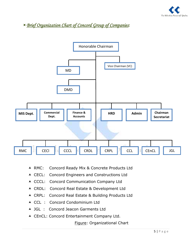

<sup>*Merief Organization Chart of Concord Group of Companies:*</sup>



- ▲ RMC: Concord Ready Mix & Concrete Products Ltd
- ▲ CECL: Concord Engineers and Constructions Ltd
- ▲ CCCL: Concord Communication Company Ltd
- ▲ CRDL: Concord Real Estate & Development Ltd
- ▲ CRPL: Concord Real Estate & Building Products Ltd
- ▲ CCL : Concord Condominium Ltd
- ▲ JGL : Concord Jeacon Garments Ltd
- ▲ CEnCL: Concord Entertainment Company Ltd.

Figure: Organizational Chart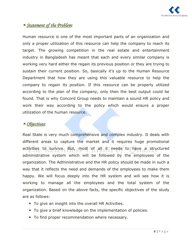

# -*Statement of the Problem:*

Human resource is one of the most important parts of an organization and only a proper utilization of this resource can help the company to reach its target. The growing competition in the real estate and entertainment industry in Bangladesh has meant that each and every similar company is working very hard either the regain its previous position or they are trying to sustain their current position. So, basically it's up to the Human Resource Department that how they are using this valuable resource to help the company to regain its position. If this resource can be properly utilized according to the plan of the company, only then the best output could be found. That is why Concord Group needs to maintain a sound HR policy and work their way according to the policy which would ensure a proper utilization of the human resource.

# -*Objectives:*

Real State is very much comprehensive and complex industry. It deals with different areas to capture the market and it requires huge promotional activities to survive. But, most of all it needs to have a structured administrative system which will be followed by the employees of the organization. The Administrative and the HR policy should be made in such a way that it reflects the need and demands of the employees to make them happy. We will focus deeply into the HR system and will see how it is working to manage all the employees and the total system of the organization. Based on the above facts, the specific objectives of the study are as follows:

- $\blacktriangle$  To give an insight into the overall HR Activities.
- ▲ To give a brief knowledge on the implementation of policies.
- $\blacktriangle$  To find proper recommendation where necessary.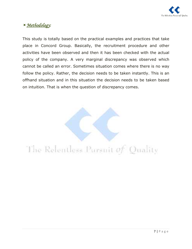

# -*Methodology:*

This study is totally based on the practical examples and practices that take place in Concord Group. Basically, the recruitment procedure and other activities have been observed and then it has been checked with the actual policy of the company. A very marginal discrepancy was observed which cannot be called an error. Sometimes situation comes where there is no way follow the policy. Rather, the decision needs to be taken instantly. This is an offhand situation and in this situation the decision needs to be taken based on intuition. That is when the question of discrepancy comes.

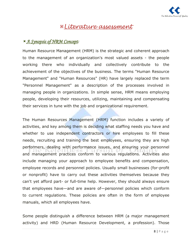

# Literature assessment

# -*A Synopsis of HRM Concept ynopsis of HRM Concept:*

Human Resource Management (HRM) is the strategic and coherent approach to the management of an organization's most valued assets - the people working there who individually and collectively contribute to the achievement of the objectives of the business. The terms "Human Resource Management" and "Human Resources" (HR) have largely replaced the term "Personnel Management" as a description of the processes involved in managing people in organizations. In simple sense, HRM means employing people, developing their resources, utilizing, maintaining and compensating their services in tune with the job and organizational requirement.

The Human Resources Management (HRM) function includes a variety of activities, and key among them is deciding what staffing needs you have and whether to use independent contractors or hire employees to fill these needs, recruiting and training the best employees, ensuring they are high performers, dealing with performance issues, and ensuring your personnel and management practices conform to various regulations. Activities also include managing your approach to employee benefits and compensation, employee records and personnel policies. Usually small businesses (for-profit or nonprofit) have to carry out these activities themselves because they can't yet afford part- or full-time help. However, they should always ensure that employees have—and are aware of—personnel policies which conform to current regulations. These policies are often in the form of employee manuals, which all employees have.

Some people distinguish a difference between HRM (a major management activity) and HRD (Human Resource Development, a profession). Those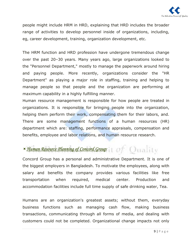

people might include HRM in HRD, explaining that HRD includes the broader range of activities to develop personnel inside of organizations, including, eg, career development, training, organization development, etc.

The HRM function and HRD profession have undergone tremendous change over the past 20–30 years. Many years ago, large organizations looked to the "Personnel Department," mostly to manage the paperwork around hiring and paying people. More recently, organizations consider the "HR Department" as playing a major role in staffing, training and helping to manage people so that people and the organization are performing at maximum capability in a highly fulfilling manner.

Human resource management is responsible for how people are treated in organizations. It is responsible for bringing people into the organization, helping them perform their work, compensating them for their labors, and. There are some management functions of a human resources (HR) department which are: staffing, performance appraisals, compensation and benefits, employee and labor relations, and human resource research.

# -*Human Resource Planning of Concord Group Human Resource Group:*

Concord Group has a personal and administrative Department. It is one of the biggest employers in Bangladesh. To motivate the employees, along with salary and benefits the company provides various facilities like free transportation when required, medical center. Production and accommodation facilities include full time supply of safe drinking water, Tea.

Humans are an organization's greatest assets; without them, everyday business functions such as managing cash flow, making business transactions, communicating through all forms of media, and dealing with customers could not be completed. Organizational change impacts not only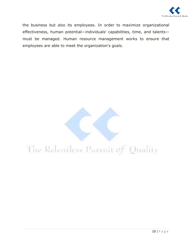

the business but also its employees. In order to maximize organizational effectiveness, human potential—individuals' capabilities, time, and talents must be managed. Human resource management works to ensure that employees are able to meet the organization's goals.

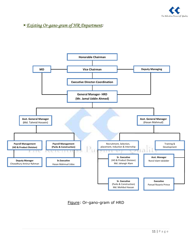

-*Existing Or Existing Or-gano-gramof HR Department of HR Department:* 



Figure: Or-gano-gram of HRD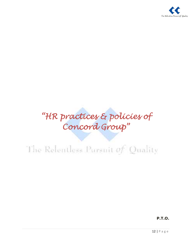

# "HR practices & policies of Concord Group"

# The Relentless Pursuit of Quality

**P.T.O.**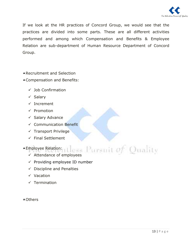

If we look at the HR practices of Concord Group, we would see that the practices are divided into some parts. These are all different activities performed and among which Compensation and Benefits & Employee Relation are sub-department of Human Resource Department of Concord Group.

Recruitment and Selection

- Compensation and Benefits:
	- $\checkmark$  Job Confirmation
	- $\checkmark$  Salary
	- $\checkmark$  Increment
	- $\checkmark$  Promotion
	- $\checkmark$  Salary Advance
	- $\checkmark$  Communication Benefit
	- $\checkmark$  Transport Privilege
	- $\checkmark$  Final Settlement

Employee Relation:

- mployee Relation:  $\mathbf{u}$  and  $\mathbf{u}$  and  $\mathbf{u}$  and  $\mathbf{u}$  and  $\mathbf{u}$  and  $\mathbf{u}$  and  $\mathbf{u}$  and  $\mathbf{u}$
- $\checkmark$  Providing employee ID number
- $\checkmark$  Discipline and Penalties
- $\checkmark$  Vacation
- $\sqrt{\ }$  Termination
- Others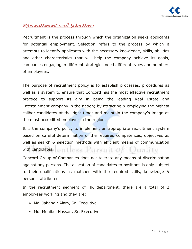

#### Recruitment and Selection:

Recruitment is the process through which the organization seeks applicants for potential employment. Selection refers to the process by which it attempts to identify applicants with the necessary knowledge, skills, abilities and other characteristics that will help the company achieve its goals, companies engaging in different strategies need different types and numbers of employees.

The purpose of recruitment policy is to establish processes, procedures as well as a system to ensure that Concord has the most effective recruitment practice to support its aim in being the leading Real Estate and Entertainment company in the nation; by attracting & employing the highest caliber candidates at the right time; and maintain the company's image as the most accredited employer in the region.

It is the company's policy to implement an appropriate recruitment system based on careful determination of the required competences, objectives as well as search & selection methods with efficient means of communication with candidates.  $\Box$  illess  $\Box$  illess  $\Box$  is the  $\Box$   $\Box$  in  $\Box$  illes

Concord Group of Companies does not tolerate any means of discrimination against any persons. The allocation of candidates to positions is only subject to their qualifications as matched with the required skills, knowledge & personal attributes.

In the recruitment segment of HR department, there are a total of 2 employees working and they are:

- A Md. Jahangir Alam, Sr. Executive
- ▲ Md. Mohibul Hassan, Sr. Executive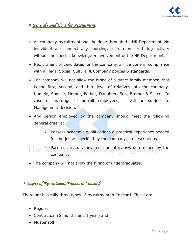

# -*General Conditions for Recruitment:*

- A All company recruitment shall be done through the HR Department. No individual will conduct any sourcing, recruitment or hiring activity without the specific knowledge & involvement of the HR Department.
- $\triangle$  Recruitment of candidates for the company will be done in compliance with all legal Social, Cultural & Company polices & standards.
- $\blacktriangle$  The company will not allow the hiring of a direct family member, that is the first, second, and third level of relatives into the company. Namely, Spouse, Mother, Father, Daughter, Son, Brother & Sister. In case of marriage of on-roll employees, it will be subject to Management decision.
- A Any person employed by the company should meet the following general criteria:
	- Possess academic qualifications & practical experience needed for the job as specified by the company job descriptions.
- Pass successfully any tests or interviews determined by the company.
	- ▲ The company will not allow the hiring of undergraduates.

# -*Stages of Recruitment Process in Stages of Recruitment Process inConcord Concord:*

There are basically three types of recruitment in Concord. These are:

- $\triangle$  Regular
- ▲ Contractual (6 months and 1 year) and
- A Muster roll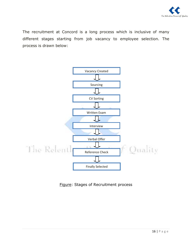

The recruitment at Concord is a long process which is inclusive of many different stages starting from job vacancy to employee selection. The process is drawn below:



Figure: Stages of Recruitment process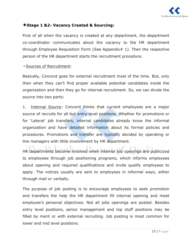

#### **Stage 1 &2- Vacancy Created & Sourcing:**

First of all when the vacancy is created at any department, the department co-coordinator communicates about the vacancy to the HR department through Employee Requisition Form (See Appendix  $\#$  1). Then the respective person of the HR department starts the recruitment procedure.

#### Sources of Recruitment:

Basically, Concord goes for external recruitment most of the time. But, only then when they can't find proper available potential candidates inside the organization and then they go for internal recruitment. So, we can divide the source into two parts:

1. Internal Source: Concord thinks that current employees are a major source of recruits for all but entry-level positions. Whether for promotions or for 'Lateral' job transfers, internal candidates already know the informal organization and have detailed information about its formal policies and procedures. Promotions and transfer are typically decided by operating or line managers with little involvement by HR department.

HR departments become involved when internal job openings are publicized to employees through job positioning programs, which informs employees about opening and required qualifications and invite qualify employees to apply. The notices usually are sent to employees in informal ways, either through mail or verbally.

The purpose of job posting is to encourage employees to seek promotion and transfers the help the HR department fill internal opening and meet employee's personal objectives. Not all jobs openings are posted. Besides entry level positions, senior management and top stuff positions may be filled by merit or with external recruiting. Job posting is most common for lower and mid level positions.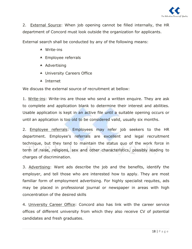

2. External Source: When job opening cannot be filled internally, the HR department of Concord must look outside the organization for applicants.

External search shall be conducted by any of the following means:

- Write-ins
- ▲ Employee referrals
- $\triangle$  Advertising
- ▲ University Careers Office
- $\blacktriangle$  Internet

We discuss the external source of recruitment at bellow:

1. Write-ins: Write-ins are those who send a written enquire. They are ask to complete and application blank to determine their interest and abilities. Usable application is kept in an active file until a suitable opening occurs or until an application is too old to be considered valid, usually six months.

2. **Employee referrals: Employees may refer** job seekers to the HR department. Employee's referrals are excellent and legal recruitment technique, but they tend to maintain the status quo of the work force in term of raise, religions, sex and other characteristics, possibly leading to charges of discrimination.

3. Advertising: Want ads describe the job and the benefits, identify the employer, and tell those who are interested how to apply. They are most familiar form of employment advertising. For highly specialist requites, ads may be placed in professional journal or newspaper in areas with high concentration of the desired skills

4. University Career Office: Concord also has link with the career service offices of different university from which they also receive CV of potential candidates and fresh graduates.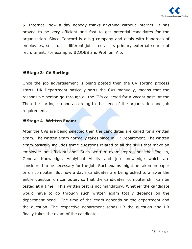

5. Internet: Now a day nobody thinks anything without internet. It has proved to be very efficient and fast to get potential candidates for the organization. Since Concord is a big company and deals with hundreds of employees, so it uses different job sites as its primary external source of recruitment. For example: BDJOBS and Prothom Alo.

#### **\*Stage 3- CV Sorting:**

Once the job advertisement is being posted then the CV sorting process starts. HR Department basically sorts the CVs manually, means that the responsible person go through all the CVs collected for a vacant post. At the Then the sorting is done according to the need of the organization and job requirement.

#### **Stage 4- Written Exam:**

After the CVs are being selected then the candidates are called for a written exam. The written exam normally takes place in HR Department. The written exam basically includes some questions related to all the skills that make an employee an efficient one. Such written exam represents the English, General Knowledge, Analytical Ability and job knowledge which are considered to be necessary for the job. Such exams might be taken on paper or on computer. But now a day's candidates are being asked to answer the entire question on computer, so that the candidates' computer skill can be tested at a time. This written test is not mandatory. Whether the candidate would have to go through such written exam totally depends on the department head. The time of the exam depends on the department and the question. The respective department sends HR the question and HR finally takes the exam of the candidates.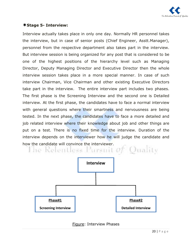

#### **Stage 5- Interview:**

Interview actually takes place in only one day. Normally HR personnel takes the interview, but in case of senior posts (Chief Engineer, Asstt.Manager), personnel from the respective department also takes part in the interview. But interview session is being organized for any post that is considered to be one of the highest positions of the hierarchy level such as Managing Director, Deputy Managing Director and Executive Director then the whole interview session takes place in a more special manner. In case of such interview Chairman, Vice Chairman and other existing Executive Directors take part in the interview. The entire interview part includes two phases. The first phase is the Screening Interview and the second one is Detailed interview. At the first phase, the candidates have to face a normal interview with general questions where their smartness and nervousness are being tested. In the next phase, the candidates have to face a more detailed and job related interview where their knowledge about job and other things are put on a test. There is no fixed time for the interview. Duration of the interview depends on the interviewer how he will judge the candidate and





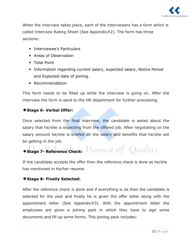

When the interview takes place, each of the interviewers has a form which is called Interview Rating Sheet (See Appendix#2). The form has three sections:

- ▲ Interviewee's Particulars
- A Areas of Observation
- ▲ Total Point
- A Information regarding current salary, expected salary, Notice Period and Expected date of joining.
- $\blacktriangle$  Recommendation

This form needs to be filled up while the interview is going on. After the interview the form is send to the HR department for further processing.

#### **Stage 6- Verbal Offer:**

Once selected from the final interview, the candidate is asked about the salary that he/she is expecting from the offered job. After negotiating on the salary amount he/she is briefed on the salary and benefits that he/she will be getting in the job.

# **\*Stage 7- Reference Check:** Pursmit of Quality

If the candidate accepts the offer then the reference check is done as he/she has mentioned in his/her resume.

#### **Stage 8- Finally Selected:**

After the reference check is done and if everything is ok then the candidate is selected for the post and finally he is given the offer letter along with the appointment letter (See Appendix#3). With the appointment letter the employees are given a joining pack in which they have to sign some documents and fill up some forms. This joining pack includes: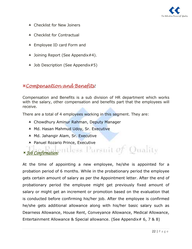

- ▲ Checklist for New Joiners
- ▲ Checklist for Contractual
- ▲ Employee ID card Form and
- ▲ Joining Report (See Appendix#4).
- ▲ Job Description (See Appendix#5)

#### Compensation and Benefits:

Compensation and Benefits is a sub division of HR department which works with the salary, other compensation and benefits part that the employees will receive.

There are a total of 4 employees working in this segment. They are:

- Chowdhury Aminur Rahman, Deputy Manager
- ▲ Md. Hasan Mahmud Udoy, Sr. Executive
- ▲ Md. Jahangir Alam, Sr. Executive
- Panuel Rozario Prince, Executive

-*Job Confirmation:*

At the time of appointing a new employee, he/she is appointed for a probation period of 6 months. While in the probationary period the employee gets certain amount of salary as per the Appointment letter. After the end of probationary period the employee might get previously fixed amount of salary or might get an increment or promotion based on the evaluation that is conducted before confirming his/her job. After the employee is confirmed he/she gets additional allowance along with his/her basic salary such as Dearness Allowance, House Rent, Conveyance Allowance, Medical Allowance, Entertainment Allowance & Special allowance. (See Appendix# 6, 7 & 8)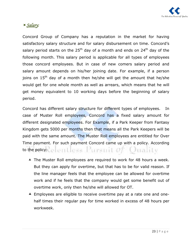

# -*Salary:*

Concord Group of Company has a reputation in the market for having satisfactory salary structure and for salary disbursement on time. Concord's salary period starts on the 25<sup>th</sup> day of a month and ends on 24<sup>th</sup> day of the following month. This salary period is applicable for all types of employees those concord employees. But in case of new comers salary period and salary amount depends on his/her joining date. For example, if a person joins on  $15<sup>th</sup>$  day of a month then he/she will get the amount that he/she would get for one whole month as well as arrears, which means that he will get money equivalent to 10 working days before the beginning of salary period.

Concord has different salary structure for different types of employees. In case of Muster Roll employees, Concord has a fixed salary amount for different designated employees. For Example, if a Park Keeper from Fantasy Kingdom gets 5000 per months then that means all the Park Keepers will be paid with the same amount. The Muster Roll employees are entitled for Over Time payment. For such payment Concord came up with a policy. According to the policy: Letterit Less Pursuit  $\omega f$  Q trafity

- ▲ The Muster Roll employees are required to work for 48 hours a week. But they can apply for overtime, but that has to be for valid reason. If the line manager feels that the employee can be allowed for overtime work and if he feels that the company would get some benefit out of overtime work, only then he/she will allowed for OT.
- Employees are eligible to receive overtime pay at a rate one and onehalf times their regular pay for time worked in excess of 48 hours per workweek.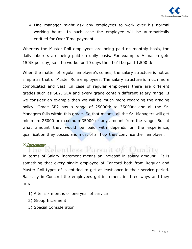

A Line manager might ask any employees to work over his normal working hours. In such case the employee will be automatically entitled for Over Time payment.

Whereas the Muster Roll employees are being paid on monthly basis, the daily laborers are being paid on daily basis. For example: A mason gets 150tk per day, so if he works for 10 days then he'll be paid 1,500 tk.

When the matter of regular employee's comes, the salary structure is not as simple as that of Muster Role employees. The salary structure is much more complicated and vast. In case of regular employees there are different grades such as SE2, SE4 and every grade contain different salary range. If we consider an example then we will be much more regarding the grading policy. Grade SE2 has a range of 25000tk to 35000tk and all the Sr. Managers falls within this grade. So that means, all the Sr. Managers will get minimum 25000 or maximum 35000 or any amount from the range. But at what amount they would be paid with depends on the experience, qualification they posses and most of all how they convince their employer.

# -*Increment:*

In terms of Salary Increment means an increase in salary amount. It is something that every single employee of Concord both from Regular and Muster Roll types of is entitled to get at least once in their service period. Basically in Concord the employees get increment in three ways and they are:

- 1) After six months or one year of service
- 2) Group Increment
- 3) Special Consideration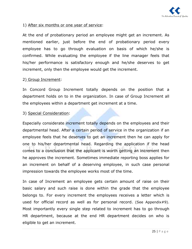

#### 1) After six months or one year of service:

At the end of probationary period an employee might get an increment. As mentioned earlier, just before the end of probationary period every employee has to go through evaluation on basis of which he/she is confirmed. While evaluating the employee if the line manager feels that his/her performance is satisfactory enough and he/she deserves to get increment, only then the employee would get the increment.

#### 2) Group Increment:

In Concord Group Increment totally depends on the position that a department holds on to in the organization. In case of Group Increment all the employees within a department get increment at a time.

#### 3) Special Consideration:

Especially considerate increment totally depends on the employees and their departmental head. After a certain period of service in the organization if an employee feels that he deserves to get an increment then he can apply for one to his/her departmental head. Regarding the application if the head comes to a conclusion that the applicant is worth getting an increment then he approves the increment. Sometimes immediate reporting boss applies for an increment on behalf of a deserving employee, in such case personal impression towards the employee works most of the time.

In case of Increment an employee gets certain amount of raise on their basic salary and such raise is done within the grade that the employee belongs to. For every increment the employees receives a letter which is used for official record as well as for personal record. (See Appendix#9). Most importantly every single step related to increment has to go through HR department, because at the end HR department decides on who is eligible to get an increment.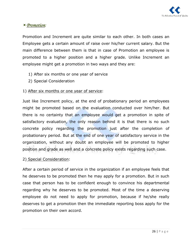

#### -*Promotion:*

Promotion and Increment are quite similar to each other. In both cases an Employee gets a certain amount of raise over his/her current salary. But the main difference between them is that in case of Promotion an employee is promoted to a higher position and a higher grade. Unlike Increment an employee might get a promotion in two ways and they are:

- 1) After six months or one year of service
- 2) Special Consideration

#### 1) After six months or one year of service:

Just like Increment policy, at the end of probationary period an employees might be promoted based on the evaluation conducted over him/her. But there is no certainty that an employee would get a promotion in spite of satisfactory evaluation, the only reason behind it is that there is no such concrete policy regarding the promotion just after the completion of probationary period. But at the end of one year of satisfactory service in the organization, without any doubt an employee will be promoted to higher position and grade as well and a concrete policy exists regarding such case.

#### 2) Special Consideration:

After a certain period of service in the organization if an employee feels that he deserves to be promoted then he may apply for a promotion. But in such case that person has to be confident enough to convince his departmental regarding why he deserves to be promoted. Most of the time a deserving employee do not need to apply for promotion, because if he/she really deserves to get a promotion then the immediate reporting boss apply for the promotion on their own accord.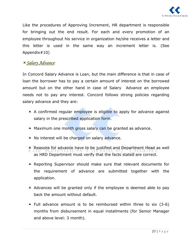

Like the procedures of Approving Increment, HR department is responsible for bringing out the end result. For each and every promotion of an employee throughout his service in organization he/she receives a letter and this letter is used in the same way an increment letter is. (See Appendix#10)

#### -*Salary Advance:*

In Concord Salary Advance is Loan, but the main difference is that in case of loan the borrower has to pay a certain amount of interest on the borrowed amount but on the other hand in case of Salary Advance an employee needs not to pay any interest. Concord follows strong policies regarding salary advance and they are:

- A A confirmed regular employee is eligible to apply for advance against salary in the prescribed application form.
- A Maximum one month gross salary can be granted as advance.
- A No interest will be charged on salary advance.
- A Reasons for advance have to be justified and Department Head as well as HRD Department must verify that the facts stated are correct.
- Reporting Supervisor should make sure that relevant documents for the requirement of advance are submitted together with the application.
- $\triangle$  Advances will be granted only if the employee is deemed able to pay back the amount without default.
- $\blacktriangle$  Full advance amount is to be reimbursed within three to six (3-6) months from disbursement in equal installments (for Senior Manager and above level: 3 month).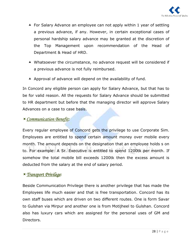

- ▲ For Salary Advance an employee can not apply within 1 year of settling a previous advance, if any. However, in certain exceptional cases of personal hardship salary advance may be granted at the discretion of the Top Management upon recommendation of the Head of Department & Head of HRD.
- Whatsoever the circumstance, no advance request will be considered if a previous advance is not fully reimbursed.
- $\blacktriangle$  Approval of advance will depend on the availability of fund.

In Concord any eligible person can apply for Salary Advance, but that has to be for valid reason. All the requests for Salary Advance should be submitted to HR department but before that the managing director will approve Salary Advances on a case to case basis.

# -*Communication Benefit:*

Every regular employee of Concord gets the privilege to use Corporate Sim. Employees are entitled to spend certain amount money over mobile every month. The amount depends on the designation that an employee holds s on to. For example: A Sr. Executive is entitled to spend 1200tk per month. If somehow the total mobile bill exceeds 1200tk then the excess amount is deducted from the salary at the end of salary period.

# -*Transport Privilege:*

Beside Communication Privilege there is another privilege that has made the Employees life much easier and that is free transportation. Concord has its own staff buses which are driven on two different routes. One is form Savar to Gulshan via Mirpur and another one is from Motijheel to Gulshan. Concord also has luxury cars which are assigned for the personal uses of GM and Directors.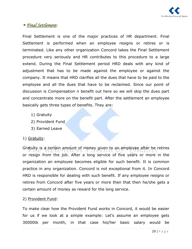

# -*Final Settlement Settlement:*

Final Settlement is one of the major practices of HR department. Final Settlement is performed when an employee resigns or retires or is terminated. Like any other organization Concord takes the Final Settlement procedure very seriously and HR contributes to this procedure to a large extend. During the Final Settlement period HRD deals with any kind of adjustment that has to be made against the employee or against the company. It means that HRD clarifies all the dues that have to be paid to the employee and all the dues that have to be reclaimed. Since our point of discussion is Compensation n benefit out here so we will skip the dues part and concentrate more on the benefit part. After the settlement an employee basically gets three types of benefits. They are:

- 1) Gratuity
- 2) Provident Fund
- 3) Earned Leave

#### 1) Gratuity:

Gratuity is a certain amount of money given to an employee after he retires or resign from the job. After a long service of five years or more in the organization an employee becomes eligible for such benefit. It is common practice in any organization. Concord is not exceptional from it. In Concord HRD is responsible for dealing with such benefit. If any employee resigns or retires from Concord after five years or more then that then he/she gets a certain amount of money as reward for the long service.

#### 2) Provident Fund:

To make clear how the Provident Fund works in Concord, it would be easier for us if we look at a simple example: Let's assume an employee gets 30000tk per month, in that case his/her basic salary would be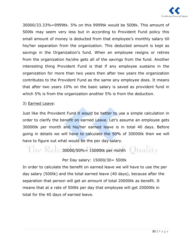

30000/33.33%=9999tk. 5% on this 9999tk would be 500tk. This amount of 500tk may seem very less but in according to Provident Fund policy this small amount of money is deducted from that employee's monthly salary till his/her separation from the organization. This deducted amount is kept as savings in the Organization's fund. When an employee resigns or retires from the organization he/she gets all of the savings from the fund. Another interesting thing Provident Fund is that if any employee sustains in the organization for more than two years then after two years the organization contributes to the Provident Fund as the same any employee does. It means that after two years 10% on the basic salary is saved as provident fund in which 5% is from the organization another 5% is from the deduction.

#### 3) Earned Leave:

Just like the Provident Fund it would be better to use a simple calculation in order to clarify the benefit on earned Leave. Let's assume an employee gets 30000tk per month and his/her earned leave is in total 40 days. Before going in details we will have to calculate the 50% of 30000tk then we will have to figure out what would be the per day salary.

$$
30000/50\% = 15000
$$

#### Per Day salary: 15000/30= 500tk

In order to calculate the benefit on earned leave we will have to use the per day salary (500tk) and the total earned leave (40 days), because after the separation that person will get an amount of total 20000tk as benefit. It means that at a rate of 500tk per day that employee will get 20000tk in total for the 40 days of earned leave.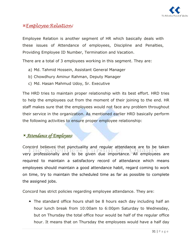

#### Employee Relation:

Employee Relation is another segment of HR which basically deals with these issues of Attendance of employees, Discipline and Penalties, Providing Employee ID Number, Termination and Vacation.

There are a total of 3 employees working in this segment. They are:

- a) Md. Tahmid Hossein, Assistant General Manager
- b) Chowdhury Aminur Rahman, Deputy Manager
- c) Md. Hasan Mahmud Udoy, Sr. Executive

The HRD tries to maintain proper relationship with its best effort. HRD tries to help the employees out from the moment of their joining to the end. HR staff makes sure that the employees would not face any problem throughout their service in the organization. As mentioned earlier HRD basically perform the following activities to ensure proper employee relationship:

# -*Attendance of Employees:*

Concord believes that punctuality and regular attendance are to be taken very professionally and to be given due importance. All employees are required to maintain a satisfactory record of attendance which means employees should maintain a good attendance habit, regard coming to work on time, try to maintain the scheduled time as far as possible to complete the assigned jobs.

Concord has strict policies regarding employee attendance. They are:

▲ The standard office hours shall be 8 hours each day including half an hour lunch break from 10:00am to 6:00pm Saturday to Wednesday, but on Thursday the total office hour would be half of the regular office hour. It means that on Thursday the employees would have a half day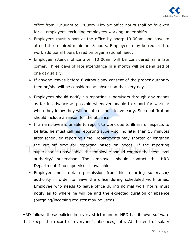

office from 10:00am to 2:00om. Flexible office hours shall be followed for all employees excluding employees working under shifts.

- Employees must report at the office by sharp 10:00am and have to attend the required minimum 8 hours. Employees may be required to work additional hours based on organizational need.
- Employee attends office after 10:00am will be considered as a late comer. Three days of late attendance in a month will be penalized of one day salary.
- $\blacktriangle$  If anyone leaves before 6 without any consent of the proper authority then he/she will be considered as absent on that very day.
- A Employees should notify his reporting supervisors through any means as far in advance as possible whenever unable to report for work or when they know they will be late or must leave early. Such notification should include a reason for the absence.
- A If an employee is unable to report to work due to illness or expects to be late, he must call his reporting supervisor no later than 15 minutes after scheduled reporting time. Departments may shorten or lengthen the cut off time for reporting based on needs. If the reporting supervisor is unavailable, the employee should contact the next level authority/ supervisor. The employee should contact the HRD Department if no supervisor is available.
- Employee must obtain permission from his reporting supervisor/ authority in order to leave the office during scheduled work times. Employee who needs to leave office during normal work hours must notify as to where he will be and the expected duration of absence (outgoing/incoming register may be used).

HRD follows these policies in a very strict manner. HRD has its own software that keeps the record of everyone's absences, late. At the end of salary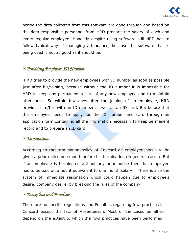

period the data collected from this software are gone through and based on the data responsible personnel from HRD prepare the salary of each and every regular employee. Honestly despite using software still HRD has to follow typical way of managing attendance, because the software that is being used is not as good as it should be.

# -*Providing Employee ID Number:*

HRD tries to provide the new employees with ID number as soon as possible just after his/joining, because without the ID number it is impossible for HRD to keep any permanent record of any new employee and to maintain attendance. So within few days after the joining of an employee, HRD provides him/her with an ID number as well as an ID card. But before that the employee needs to apply for the ID number and card through an application form containing all the information necessary to keep permanent record and to prepare an ID card.

# -*Termination:*

According to the termination policy of Concord an employee needs to be given a prior notice one month before his termination (in general cases). But if an employee is terminated without any prior notice then that employee has to be paid an amount equivalent to one month salary. There is also the system of immediate resignation which could happen due to employee's desire, company desire, by breaking the rules of the company.

# -*Discipline and Penalties:*

There are no specific regulations and Penalties regarding fowl practices in Concord except the fact of Absenteeism. Most of the cases penalties depend on the extent to which the fowl practices have been performed.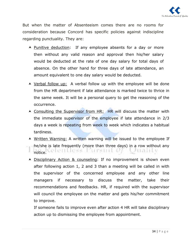

But when the matter of Absenteeism comes there are no rooms for consideration because Concord has specific policies against indiscipline regarding punctuality. They are:

- A Punitive deduction: If any employee absents for a day or more then without any valid reason and approval then his/her salary would be deducted at the rate of one day salary for total days of absence. On the other hand for three days of late attendance, an amount equivalent to one day salary would be deducted.
- Verbal follow up:A verbal follow up with the employee will be done from the HR department if late attendance is marked twice to thrice in the same week. It will be a personal query to get the reasoning of the occurrence.
- ▲ Consulting the Supervisor from HR: HR will discuss the matter with the immediate supervisor of the employee if late attendance in 2/3 days a week is repeating from week to week which indicates a habitual tardiness.
- Written Warning: A written warning will be issued to the employee If he/she is late frequently (more than three days) in a row without any  $\frac{1}{\pi}$ notice. $\frac{1}{\pi}$ Contracted University of  $\frac{1}{\pi}$ 9818.H.V
- Disciplinary Action & counseling: If no improvement is shown even after following action 1, 2 and 3 than a meeting will be called in with the supervisor of the concerned employee and any other line managers if necessary to discuss the matter, take their recommendations and feedbacks. HR, if required with the supervisor will council the employee on the matter and gets his/her commitment to improve.

If someone fails to improve even after action 4 HR will take disciplinary action up to dismissing the employee from appointment.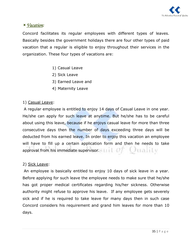

# -*Vacation:*

Concord facilitates its regular employees with different types of leaves. Basically besides the government holidays there are four other types of paid vacation that a regular is eligible to enjoy throughout their services in the organization. These four types of vacations are:

- 1) Casual Leave
- 2) Sick Leave
- 3) Earned Leave and
- 4) Maternity Leave

#### 1) Casual Leave:

 A regular employee is entitled to enjoy 14 days of Casual Leave in one year. He/she can apply for such leave at anytime. But he/she has to be careful about using this leave, because if he enjoys casual leave for more than three consecutive days then the number of days exceeding three days will be deducted from his earned leave. In order to enjoy this vacation an employee will have to fill up a certain application form and then he needs to take Ottalily approval from his immediate supervisor.

#### 2) Sick Leave:

 An employee is basically entitled to enjoy 10 days of sick leave in a year. Before applying for such leave the employee needs to make sure that he/she has got proper medical certificates regarding his/her sickness. Otherwise authority might refuse to approve his leave. If any employee gets severely sick and if he is required to take leave for many days then in such case Concord considers his requirement and grand him leaves for more than 10 days.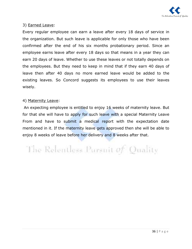

#### 3) Earned Leave:

Every regular employee can earn a leave after every 18 days of service in the organization. But such leave is applicable for only those who have been confirmed after the end of his six months probationary period. Since an employee earns leave after every 18 days so that means in a year they can earn 20 days of leave. Whether to use these leaves or not totally depends on the employees. But they need to keep in mind that if they earn 40 days of leave then after 40 days no more earned leave would be added to the existing leaves. So Concord suggests its employees to use their leaves wisely.

#### 4) Maternity Leave:

 An expecting employee is entitled to enjoy 16 weeks of maternity leave. But for that she will have to apply for such leave with a special Maternity Leave From and have to submit a medical report with the expectation date mentioned in it. If the maternity leave gets approved then she will be able to enjoy 8 weeks of leave before her delivery and 8 weeks after that.

The Relentless Parsuit of Quality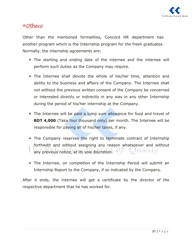

#### Others:

Other than the mentioned formalities, Concord HR department has another program which is the Internship program for the fresh graduates. Normally, the internship agreements are:

- The starting and ending date of the internee and the internee will perform such duties as the Company may require.
- A The Internee shall devote the whole of his/her time, attention and ability to the business and affairs of the Company. The Internee shall not without the previous written consent of the Company be concerned or interested directly or indirectly in any way in any other Internship during the period of his/her internship at the Company.
- The Internee will be paid a lump sum allowance for food and travel of **BDT 4,000** (Taka four thousand only) per month. The Internee will be responsible for paying all of his/her taxes, if any.
- A The Company reserves the right to terminate contract of Internship forthwith and without assigning any reason whatsoever and without any previous notice, at its sole discretion. Anahii v
- A The Internee, on completion of the Internship Period will submit an Internship Report to the Company, if so indicated by the Company.

After it ends, the internee will get a certificate by the director of the respective department that he has worked for.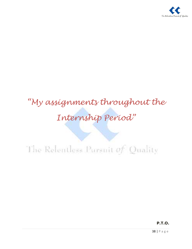

# "My assignments throughout the Internship Period"

# The Releatless Pursuit of Quality

**P.T.O.**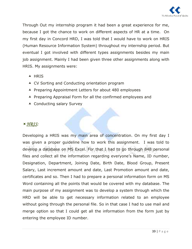

Through Out my internship program it had been a great experience for me, because I got the chance to work on different aspects of HR at a time. On my first day in Concord HRD, I was told that I would have to work on HRIS (Human Resource Information System) throughout my internship period. But eventual I got involved with different types assignments besides my main job assignment. Mainly I had been given three other assignments along with HRIS. My assignments were:

- **A** HRIS
- ▲ CV Sorting and Conducting orientation program
- ▲ Preparing Appointment Letters for about 480 employees
- ▲ Preparing Appraisal Form for all the confirmed employees and
- ▲ Conducting salary Survey

# -*HRIS:*

Developing a HRIS was my main area of concentration. On my first day I was given a proper guideline how to work this assignment. I was told to develop a database on MS Excel. For that I had to go through 848 personal files and collect all the information regarding everyone's Name, ID number, Designation, Department, Joining Date, Birth Date, Blood Group, Present Salary, Last increment amount and date, Last Promotion amount and date, certificates and so. Then I had to prepare a personal information form on MS Word containing all the points that would be covered with my database. The main purpose of my assignment was to develop a system through which the HRD will be able to get necessary information related to an employee without going through the personal file. So in that case I had to use mail and merge option so that I could get all the information from the form just by entering the employee ID number.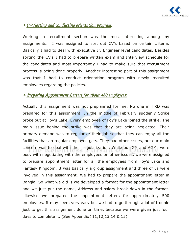

# -*CV Sorting and conducting orientation program:*

Working in recruitment section was the most interesting among my assignments. I was assigned to sort out CV's based on certain criteria. Basically I had to deal with executive Jr. Engineer level candidates. Besides sorting the CV's I had to prepare written exam and Interview schedule for the candidates and most importantly I had to make sure that recruitment process is being done properly. Another interesting part of this assignment was that I had to conduct orientation program with newly recruited employees regarding the policies.

# -*Preparing Appointment Letters for about 480 employe Appointment Letters employees:*

Actually this assignment was not preplanned for me. No one in HRD was prepared for this assignment. In the middle of February suddenly Strike broke out at Foy's Lake. Every employee of Foy's Lake joined the strike. The main issue behind the strike was that they are being neglected. Their primary demand was to regularize their job so that they can enjoy all the facilities that an regular employee gets. They had other issues, but our main concern was to deal with their regularization. While our GM and AGMs were busy with negotiating with the employees on other issues, we were assigned to prepare appointment letter for all the employees from Foy's Lake and Fantasy Kingdom. It was basically a group assignment and three of us were involved in this assignment. We had to prepare the appointment letter in Bangla. So what we did is we developed a format for the appointment letter and we just put the name, Address and salary break down in the format. Likewise we prepared the appointment letters for approximately 500 employees. It may seem very easy but we had to go through a lot of trouble just to get this assignment done on time, because we were given just four days to complete it. (See Appendix $\#11,12,13,14 \& 15$ )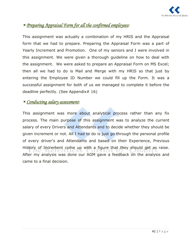

# <sup>*<u>Preparing Appraisal Form for all the confirmed employees:</u></sup>*

This assignment was actually a combination of my HRIS and the Appraisal form that we had to prepare. Preparing the Appraisal Form was a part of Yearly Increment and Promotion. One of my seniors and I were involved in this assignment. We were given a thorough guideline on how to deal with the assignment. We were asked to prepare an Appraisal Form on MS Excel; then all we had to do is Mail and Merge with my HRIS so that just by entering the Employee ID Number we could fill up the Form. It was a successful assignment for both of us we managed to complete it before the deadline perfectly. (See Appendix# 16)

# -*Conducting salary assessment assessment:*

This assignment was more about analytical process rather than any fix process. The main purpose of this assignment was to analyze the current salary of every Drivers and Attendants and to decide whether they should be given increment or not. All I had to do is just go through the personal profile of every driver's and Attendants and based on their Experience, Previous History of Increment come up with a figure that they should get as raise. After my analysis was done our AGM gave a feedback on the analysis and came to a final decision.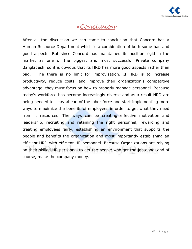

# Conclusion

After all the discussion we can come to conclusion that Concord has a Human Resource Department which is a combination of both some bad and good aspects. But since Concord has maintained its position rigid in the market as one of the biggest and most successful Private company Bangladesh, so it is obvious that its HRD has more good aspects rather than bad. The there is no limit for improvisation. If HRD is to increase productivity, reduce costs, and improve their organization's competitive advantage, they must focus on how to properly manage personnel. Because today's workforce has become increasingly diverse and as a result HRD are being needed to stay ahead of the labor force and start implementing more ways to maximize the benefits of employees in order to get what they need from it resources. The ways can be creating effective motivation and leadership, recruiting and retaining the right personnel, rewarding and treating employees fairly, establishing an environment that supports the people and benefits the organization and most importantly establishing an efficient HRD with efficient HR personnel. Because Organizations are relying on their skilled HR personnel to get the people who get the job done, and of course, make the company money.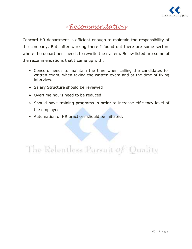

# Recommendation

Concord HR department is efficient enough to maintain the responsibility of the company. But, after working there I found out there are some sectors where the department needs to rewrite the system. Below listed are some of the recommendations that I came up with:

- Concord needs to maintain the time when calling the candidates for written exam, when taking the written exam and at the time of fixing interview.
- ▲ Salary Structure should be reviewed
- ▲ Overtime hours need to be reduced.
- A Should have training programs in order to increase efficiency level of the employees.
- Automation of HR practices should be initiated.

The Relentless Pursuit of Quality